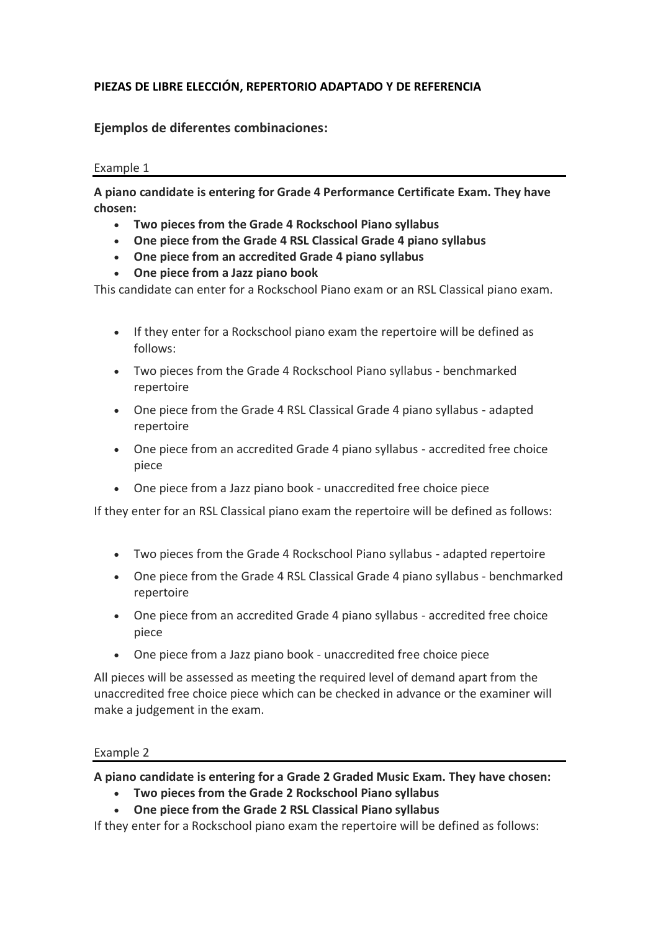# **PIEZAS DE LIBRE ELECCIÓN, REPERTORIO ADAPTADO Y DE REFERENCIA**

**Ejemplos de diferentes combinaciones:**

## Example 1

**A piano candidate is entering for Grade 4 Performance Certificate Exam. They have chosen:**

- **Two pieces from the Grade 4 Rockschool Piano syllabus**
- **One piece from the Grade 4 RSL Classical Grade 4 piano syllabus**
- **One piece from an accredited Grade 4 piano syllabus**
- **One piece from a Jazz piano book**

This candidate can enter for a Rockschool Piano exam or an RSL Classical piano exam.

- If they enter for a Rockschool piano exam the repertoire will be defined as follows:
- Two pieces from the Grade 4 Rockschool Piano syllabus benchmarked repertoire
- One piece from the Grade 4 RSL Classical Grade 4 piano syllabus adapted repertoire
- One piece from an accredited Grade 4 piano syllabus accredited free choice piece
- One piece from a Jazz piano book unaccredited free choice piece

If they enter for an RSL Classical piano exam the repertoire will be defined as follows:

- Two pieces from the Grade 4 Rockschool Piano syllabus adapted repertoire
- One piece from the Grade 4 RSL Classical Grade 4 piano syllabus benchmarked repertoire
- One piece from an accredited Grade 4 piano syllabus accredited free choice piece
- One piece from a Jazz piano book unaccredited free choice piece

All pieces will be assessed as meeting the required level of demand apart from the unaccredited free choice piece which can be checked in advance or the examiner will make a judgement in the exam.

### Example 2

**A piano candidate is entering for a Grade 2 Graded Music Exam. They have chosen:**

- **Two pieces from the Grade 2 Rockschool Piano syllabus**
- **One piece from the Grade 2 RSL Classical Piano syllabus**

If they enter for a Rockschool piano exam the repertoire will be defined as follows: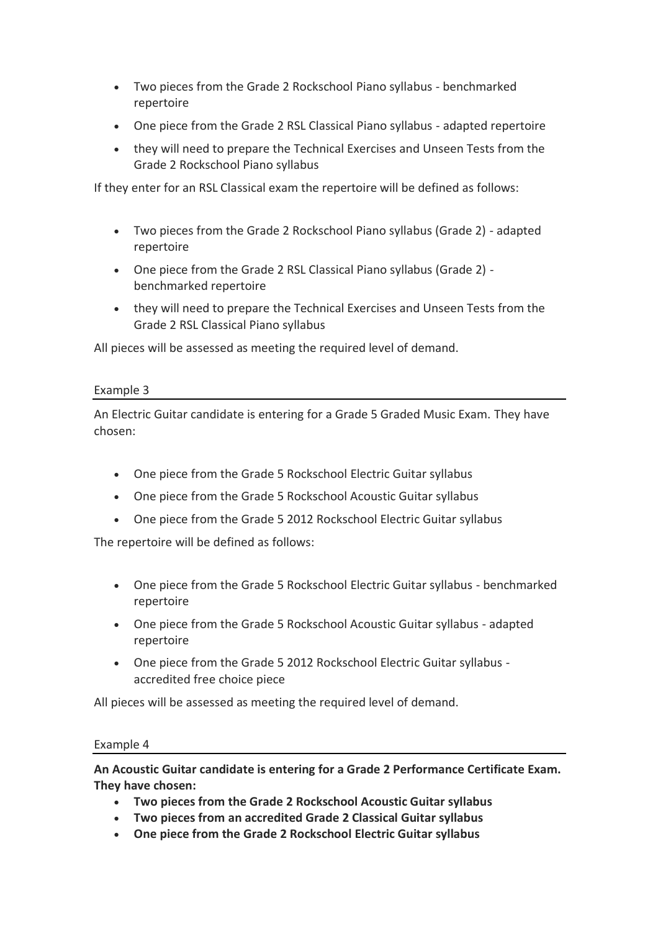- Two pieces from the Grade 2 Rockschool Piano syllabus benchmarked repertoire
- One piece from the Grade 2 RSL Classical Piano syllabus adapted repertoire
- they will need to prepare the Technical Exercises and Unseen Tests from the Grade 2 Rockschool Piano syllabus

If they enter for an RSL Classical exam the repertoire will be defined as follows:

- Two pieces from the Grade 2 Rockschool Piano syllabus (Grade 2) adapted repertoire
- One piece from the Grade 2 RSL Classical Piano syllabus (Grade 2) benchmarked repertoire
- they will need to prepare the Technical Exercises and Unseen Tests from the Grade 2 RSL Classical Piano syllabus

All pieces will be assessed as meeting the required level of demand.

# Example 3

An Electric Guitar candidate is entering for a Grade 5 Graded Music Exam. They have chosen:

- One piece from the Grade 5 Rockschool Electric Guitar syllabus
- One piece from the Grade 5 Rockschool Acoustic Guitar syllabus
- One piece from the Grade 5 2012 Rockschool Electric Guitar syllabus

The repertoire will be defined as follows:

- One piece from the Grade 5 Rockschool Electric Guitar syllabus benchmarked repertoire
- One piece from the Grade 5 Rockschool Acoustic Guitar syllabus adapted repertoire
- One piece from the Grade 5 2012 Rockschool Electric Guitar syllabus accredited free choice piece

All pieces will be assessed as meeting the required level of demand.

### Example 4

**An Acoustic Guitar candidate is entering for a Grade 2 Performance Certificate Exam. They have chosen:**

- **Two pieces from the Grade 2 Rockschool Acoustic Guitar syllabus**
- **Two pieces from an accredited Grade 2 Classical Guitar syllabus**
- **One piece from the Grade 2 Rockschool Electric Guitar syllabus**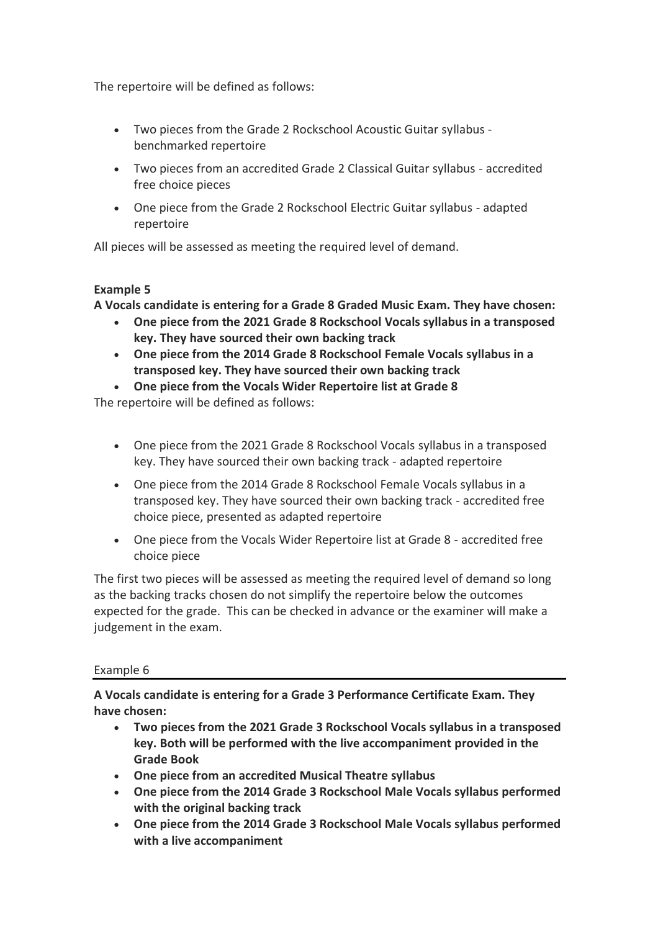The repertoire will be defined as follows:

- Two pieces from the Grade 2 Rockschool Acoustic Guitar syllabus benchmarked repertoire
- Two pieces from an accredited Grade 2 Classical Guitar syllabus accredited free choice pieces
- One piece from the Grade 2 Rockschool Electric Guitar syllabus adapted repertoire

All pieces will be assessed as meeting the required level of demand.

# **Example 5**

**A Vocals candidate is entering for a Grade 8 Graded Music Exam. They have chosen:**

- **One piece from the 2021 Grade 8 Rockschool Vocals syllabus in a transposed key. They have sourced their own backing track**
- **One piece from the 2014 Grade 8 Rockschool Female Vocals syllabus in a transposed key. They have sourced their own backing track**
- **One piece from the Vocals Wider Repertoire list at Grade 8**

The repertoire will be defined as follows:

- One piece from the 2021 Grade 8 Rockschool Vocals syllabus in a transposed key. They have sourced their own backing track - adapted repertoire
- One piece from the 2014 Grade 8 Rockschool Female Vocals syllabus in a transposed key. They have sourced their own backing track - accredited free choice piece, presented as adapted repertoire
- One piece from the Vocals Wider Repertoire list at Grade 8 accredited free choice piece

The first two pieces will be assessed as meeting the required level of demand so long as the backing tracks chosen do not simplify the repertoire below the outcomes expected for the grade. This can be checked in advance or the examiner will make a judgement in the exam.

### Example 6

**A Vocals candidate is entering for a Grade 3 Performance Certificate Exam. They have chosen:**

- **Two pieces from the 2021 Grade 3 Rockschool Vocals syllabus in a transposed key. Both will be performed with the live accompaniment provided in the Grade Book**
- **One piece from an accredited Musical Theatre syllabus**
- **One piece from the 2014 Grade 3 Rockschool Male Vocals syllabus performed with the original backing track**
- **One piece from the 2014 Grade 3 Rockschool Male Vocals syllabus performed with a live accompaniment**